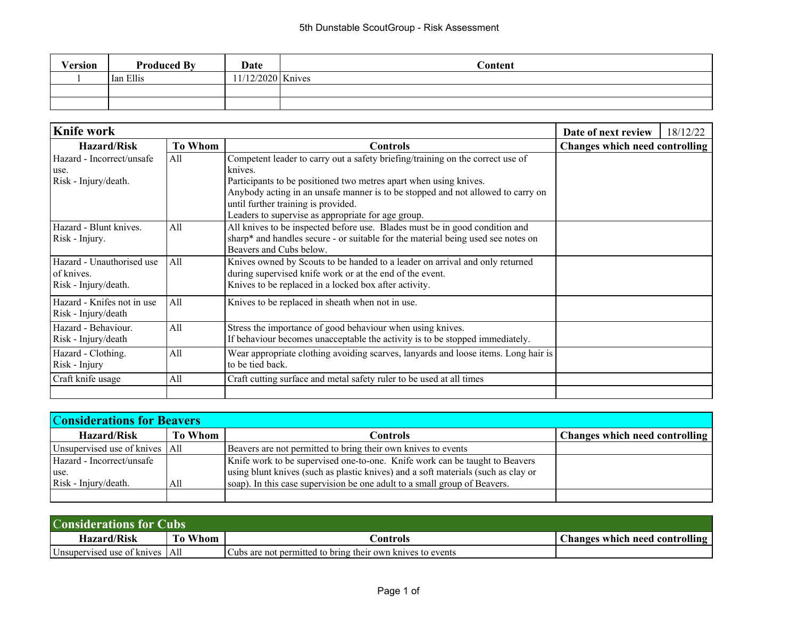| Version | <b>Produced By</b> | Date              | Content |
|---------|--------------------|-------------------|---------|
|         | Ian Ellis          | 11/12/2020 Knives |         |
|         |                    |                   |         |
|         |                    |                   |         |

| Knife work                           | Date of next review | 18/12/22                                                                           |                                |  |
|--------------------------------------|---------------------|------------------------------------------------------------------------------------|--------------------------------|--|
| <b>To Whom</b><br><b>Hazard/Risk</b> |                     | <b>Controls</b>                                                                    | Changes which need controlling |  |
| Hazard - Incorrect/unsafe            | All                 | Competent leader to carry out a safety briefing/training on the correct use of     |                                |  |
| use.                                 |                     | knives.                                                                            |                                |  |
| Risk - Injury/death.                 |                     | Participants to be positioned two metres apart when using knives.                  |                                |  |
|                                      |                     | Anybody acting in an unsafe manner is to be stopped and not allowed to carry on    |                                |  |
|                                      |                     | until further training is provided.                                                |                                |  |
|                                      |                     | Leaders to supervise as appropriate for age group.                                 |                                |  |
| Hazard - Blunt knives.               | A11                 | All knives to be inspected before use. Blades must be in good condition and        |                                |  |
| Risk - Injury.                       |                     | sharp* and handles secure - or suitable for the material being used see notes on   |                                |  |
|                                      |                     | Beavers and Cubs below.                                                            |                                |  |
| Hazard - Unauthorised use            | All                 | Knives owned by Scouts to be handed to a leader on arrival and only returned       |                                |  |
| of knives.                           |                     | during supervised knife work or at the end of the event.                           |                                |  |
| Risk - Injury/death.                 |                     | Knives to be replaced in a locked box after activity.                              |                                |  |
| Hazard - Knifes not in use           | All                 | Knives to be replaced in sheath when not in use.                                   |                                |  |
| Risk - Injury/death                  |                     |                                                                                    |                                |  |
| Hazard - Behaviour.                  | All                 | Stress the importance of good behaviour when using knives.                         |                                |  |
| Risk - Injury/death                  |                     | If behaviour becomes unacceptable the activity is to be stopped immediately.       |                                |  |
| Hazard - Clothing.                   | All                 | Wear appropriate clothing avoiding scarves, lanyards and loose items. Long hair is |                                |  |
| Risk - Injury                        |                     | to be tied back.                                                                   |                                |  |
| Craft knife usage                    | All                 | Craft cutting surface and metal safety ruler to be used at all times               |                                |  |
|                                      |                     |                                                                                    |                                |  |

| <b>Considerations for Beavers</b> |         |                                                                                   |                                |  |
|-----------------------------------|---------|-----------------------------------------------------------------------------------|--------------------------------|--|
| Hazard/Risk                       | To Whom | Controls                                                                          | Changes which need controlling |  |
| Unsupervised use of knives   All  |         | Beavers are not permitted to bring their own knives to events                     |                                |  |
| Hazard - Incorrect/unsafe         |         | Knife work to be supervised one-to-one. Knife work can be taught to Beavers       |                                |  |
| luse.                             |         | using blunt knives (such as plastic knives) and a soft materials (such as clay or |                                |  |
| Risk - Injury/death.              | All     | soap). In this case supervision be one adult to a small group of Beavers.         |                                |  |
|                                   |         |                                                                                   |                                |  |

| <b>Considerations for Cubs</b>   |            |                                                            |                                       |  |
|----------------------------------|------------|------------------------------------------------------------|---------------------------------------|--|
| <b>Hazard/Risk</b>               | Whom<br>To | `ontrols                                                   | <b>Changes which need controlling</b> |  |
| Unsupervised use of knives   All |            | Cubs are not permitted to bring their own knives to events |                                       |  |